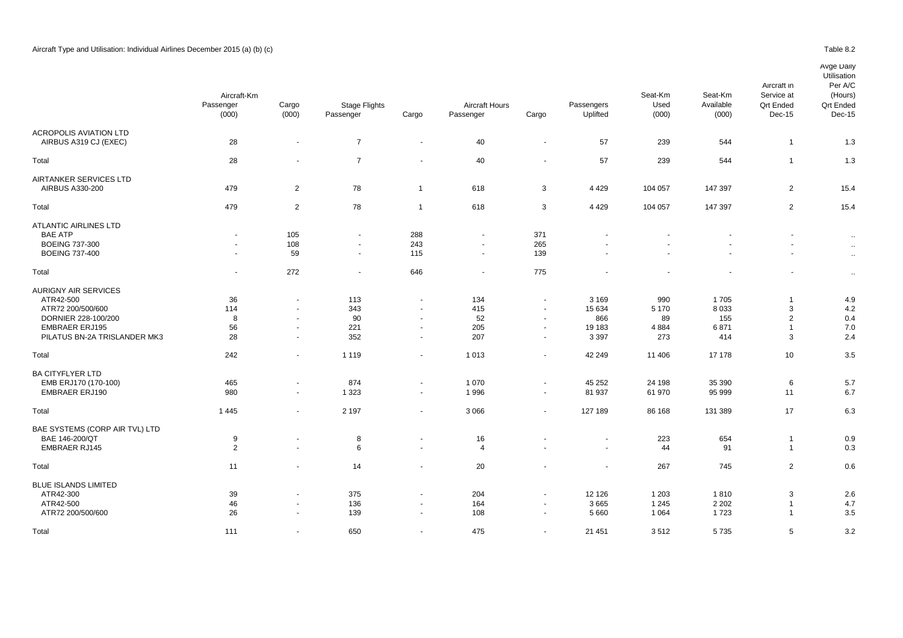|                                | Aircraft-Km              |                          |                            |                          |                |                          |                          | Seat-Km | Seat-Km            | Service at                 | (Hours)                    |
|--------------------------------|--------------------------|--------------------------|----------------------------|--------------------------|----------------|--------------------------|--------------------------|---------|--------------------|----------------------------|----------------------------|
|                                | Passenger                | Cargo                    | Stage Flights<br>Passenger | Cargo                    | Aircraft Hours |                          | Passengers<br>Uplifted   | Used    | Available<br>(000) | <b>Qrt Ended</b><br>Dec-15 | <b>Qrt Endec</b><br>Dec-15 |
|                                | (000)                    | (000)                    |                            |                          | Passenger      | Cargo                    |                          | (000)   |                    |                            |                            |
| <b>ACROPOLIS AVIATION LTD</b>  |                          |                          |                            |                          |                |                          |                          |         |                    |                            |                            |
| AIRBUS A319 CJ (EXEC)          | 28                       | $\overline{\phantom{a}}$ | $\overline{7}$             | $\blacksquare$           | 40             | $\blacksquare$           | 57                       | 239     | 544                | $\mathbf{1}$               | 1.3                        |
| Total                          | 28                       |                          | $\overline{7}$             | $\sim$                   | 40             | $\sim$                   | 57                       | 239     | 544                | $\mathbf{1}$               | 1.3                        |
| AIRTANKER SERVICES LTD         |                          |                          |                            |                          |                |                          |                          |         |                    |                            |                            |
| AIRBUS A330-200                | 479                      | $\overline{2}$           | 78                         | $\overline{1}$           | 618            | 3                        | 4 4 2 9                  | 104 057 | 147 397            | $\overline{2}$             | 15.4                       |
| Total                          | 479                      | $\overline{2}$           | 78                         | $\overline{1}$           | 618            | 3                        | 4 4 2 9                  | 104 057 | 147 397            | $\overline{2}$             | 15.4                       |
| ATLANTIC AIRLINES LTD          |                          |                          |                            |                          |                |                          |                          |         |                    |                            |                            |
| <b>BAE ATP</b>                 | $\sim$                   | 105                      | ۰                          | 288                      |                | 371                      |                          |         |                    |                            | $\ddot{\phantom{1}}$       |
| <b>BOEING 737-300</b>          | $\sim$                   | 108                      | $\overline{\phantom{a}}$   | 243                      | $\sim$         | 265                      |                          |         |                    | $\sim$                     |                            |
| <b>BOEING 737-400</b>          | $\overline{\phantom{a}}$ | 59                       | $\blacksquare$             | 115                      | $\overline{a}$ | 139                      |                          |         |                    | $\sim$                     | $\ddot{\phantom{1}}$       |
| Total                          | $\sim$                   | 272                      | $\blacksquare$             | 646                      | $\sim$         | 775                      |                          |         |                    | $\blacksquare$             | $\ddot{\phantom{a}}$       |
| <b>AURIGNY AIR SERVICES</b>    |                          |                          |                            |                          |                |                          |                          |         |                    |                            |                            |
| ATR42-500                      | 36                       |                          | 113                        | $\overline{\phantom{a}}$ | 134            |                          | 3 1 6 9                  | 990     | 1705               | $\mathbf{1}$               | 4.9                        |
| ATR72 200/500/600              | 114                      | $\overline{\phantom{a}}$ | 343                        | $\blacksquare$           | 415            | $\sim$                   | 15 634                   | 5 1 7 0 | 8 0 3 3            | 3                          | 4.2                        |
| DORNIER 228-100/200            | 8                        |                          | 90                         | $\sim$                   | 52             | $\overline{\phantom{a}}$ | 866                      | 89      | 155                | $\overline{2}$             | 0.4                        |
| <b>EMBRAER ERJ195</b>          | 56                       | $\sim$                   | 221                        | $\blacksquare$           | 205            | $\overline{\phantom{a}}$ | 19 183                   | 4 8 8 4 | 6871               | $\mathbf{1}$               | 7 <sub>c</sub>             |
| PILATUS BN-2A TRISLANDER MK3   | 28                       | $\sim$                   | 352                        | $\sim$                   | 207            | $\blacksquare$           | 3 3 9 7                  | 273     | 414                | 3                          | 2.4                        |
| Total                          | 242                      | $\sim$                   | 1 1 1 9                    | $\blacksquare$           | 1013           | $\overline{\phantom{a}}$ | 42 249                   | 11 40 6 | 17 178             | 10                         | 3.5                        |
| <b>BA CITYFLYER LTD</b>        |                          |                          |                            |                          |                |                          |                          |         |                    |                            |                            |
| EMB ERJ170 (170-100)           | 465                      | $\sim$                   | 874                        | $\blacksquare$           | 1 0 7 0        | $\sim$                   | 45 25 2                  | 24 198  | 35 390             | 6                          | 5.7                        |
| <b>EMBRAER ERJ190</b>          | 980                      | $\sim$                   | 1 3 2 3                    | $\sim$                   | 1996           | $\sim$                   | 81 937                   | 61 970  | 95 999             | 11                         | 6.7                        |
| Total                          | 1 4 4 5                  | $\sim$                   | 2 1 9 7                    | $\sim$                   | 3 0 6 6        | $\blacksquare$           | 127 189                  | 86 168  | 131 389            | 17                         | 6.3                        |
| BAE SYSTEMS (CORP AIR TVL) LTD |                          |                          |                            |                          |                |                          |                          |         |                    |                            |                            |
| BAE 146-200/QT                 | 9                        |                          | 8                          | $\overline{\phantom{a}}$ | 16             |                          | $\overline{\phantom{a}}$ | 223     | 654                | $\mathbf{1}$               | 0.9                        |
| <b>EMBRAER RJ145</b>           | $\overline{2}$           |                          | 6                          | $\blacksquare$           | 4              |                          |                          | 44      | 91                 | $\mathbf{1}$               | 0.3                        |
| Total                          | 11                       |                          | 14                         | $\blacksquare$           | 20             |                          |                          | 267     | 745                | $\overline{2}$             | 0.6                        |
| <b>BLUE ISLANDS LIMITED</b>    |                          |                          |                            |                          |                |                          |                          |         |                    |                            |                            |
| ATR42-300                      | 39                       |                          | 375                        | $\overline{\phantom{a}}$ | 204            | $\overline{\phantom{a}}$ | 12 1 26                  | 1 2 0 3 | 1810               | 3                          | 2.6                        |
| ATR42-500                      | 46                       | $\sim$                   | 136                        | $\sim$                   | 164            | $\overline{\phantom{a}}$ | 3665                     | 1 2 4 5 | 2 2 0 2            | $\mathbf{1}$               | 4.7                        |
| ATR72 200/500/600              | 26                       |                          | 139                        | $\sim$                   | 108            |                          | 5 6 6 0                  | 1 0 6 4 | 1723               | $\mathbf{1}$               | 3.5                        |
| Total                          | 111                      |                          | 650                        | $\sim$                   | 475            | $\sim$                   | 21 451                   | 3512    | 5735               | 5                          | 3.2                        |
|                                |                          |                          |                            |                          |                |                          |                          |         |                    |                            |                            |

Aircraft in

Per A/C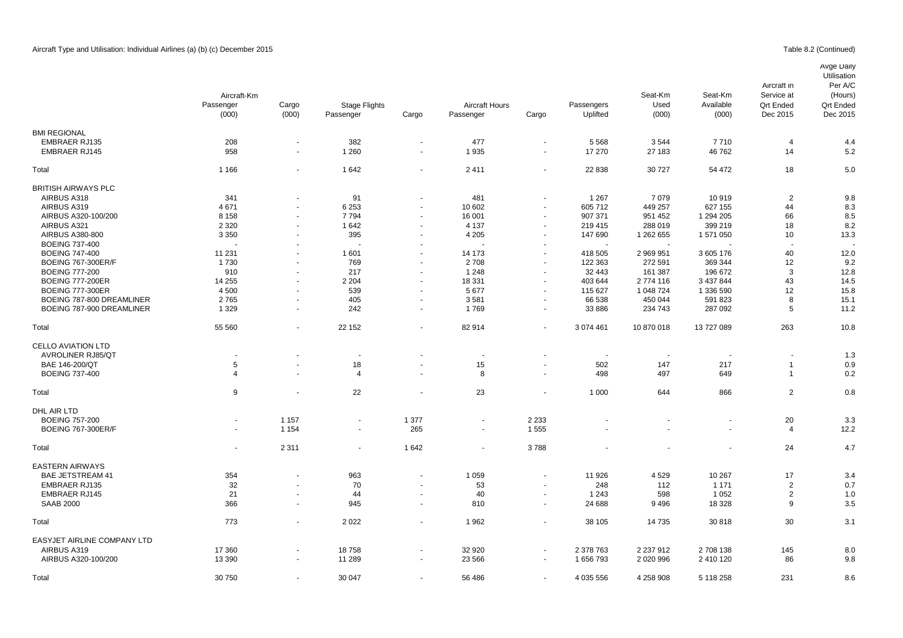# Avge Daily

|                                              | Aircraft-Km<br>Passenger<br>(000) | Cargo<br>(000)           | <b>Stage Flights</b><br>Passenger | Cargo   | Aircraft Hours<br>Passenger | Cargo   | Passengers<br>Uplifted | Seat-Km<br>Used<br>(000) | Seat-Km<br>Available<br>(000) | Aircraft in<br>Service at<br><b>Qrt Ended</b><br>Dec 2015 | Utilisation<br>Per A/C<br>(Hours)<br><b>Qrt Endec</b><br>Dec 2015 |
|----------------------------------------------|-----------------------------------|--------------------------|-----------------------------------|---------|-----------------------------|---------|------------------------|--------------------------|-------------------------------|-----------------------------------------------------------|-------------------------------------------------------------------|
| <b>BMI REGIONAL</b>                          |                                   |                          |                                   |         |                             |         |                        |                          |                               |                                                           |                                                                   |
| <b>EMBRAER RJ135</b><br><b>EMBRAER RJ145</b> | 208<br>958                        | $\overline{\phantom{a}}$ | 382<br>1 2 6 0                    | $\sim$  | 477<br>1935                 | $\sim$  | 5 5 6 8<br>17 270      | 3544<br>27 183           | 7710<br>46762                 | 4<br>14                                                   | 4.4<br>5.2                                                        |
| Total                                        | 1 1 6 6                           |                          | 1642                              | $\sim$  | 2411                        |         | 22 838                 | 30 727                   | 54 472                        | 18                                                        | 5.0                                                               |
| <b>BRITISH AIRWAYS PLC</b>                   |                                   |                          |                                   |         |                             |         |                        |                          |                               |                                                           |                                                                   |
| AIRBUS A318                                  | 341                               |                          | 91                                | $\sim$  | 481                         |         | 1 2 6 7                | 7079                     | 10919                         | $\overline{2}$                                            | 9.8                                                               |
| AIRBUS A319                                  | 4671                              |                          | 6 2 5 3                           |         | 10 602                      |         | 605 712                | 449 257                  | 627 155                       | 44                                                        | 8.3                                                               |
| AIRBUS A320-100/200                          | 8 1 5 8                           |                          | 7794                              |         | 16 001                      |         | 907 371                | 951 452                  | 1 294 205                     | 66                                                        | 8.5                                                               |
| AIRBUS A321                                  | 2 3 2 0                           |                          | 1642                              |         | 4 1 3 7                     |         | 219 415                | 288 019                  | 399 219                       | 18                                                        | 8.2                                                               |
| AIRBUS A380-800                              | 3 3 5 0                           |                          | 395                               |         | 4 2 0 5                     |         | 147 690                | 1 262 655                | 1 571 050                     | 10                                                        | 13.3                                                              |
| <b>BOEING 737-400</b>                        |                                   |                          |                                   |         |                             |         |                        |                          |                               |                                                           |                                                                   |
| <b>BOEING 747-400</b>                        | 11 231                            |                          | 1 601                             |         | 14 173                      |         | 418 505                | 2 969 951                | 3 605 176                     | 40                                                        | 12.0                                                              |
|                                              |                                   |                          |                                   |         |                             |         |                        |                          |                               |                                                           |                                                                   |
| <b>BOEING 767-300ER/F</b>                    | 1730                              |                          | 769                               |         | 2708                        |         | 122 363                | 272 591                  | 369 344                       | 12                                                        | 9.2                                                               |
| <b>BOEING 777-200</b>                        | 910                               |                          | 217                               |         | 1 2 4 8                     |         | 32 443                 | 161 387                  | 196 672                       | 3                                                         | 12.8                                                              |
| <b>BOEING 777-200ER</b>                      | 14 255                            |                          | 2 2 0 4                           |         | 18 331                      |         | 403 644                | 2774 116                 | 3 437 844                     | 43                                                        | 14.5                                                              |
| <b>BOEING 777-300ER</b>                      | 4 500                             |                          | 539                               |         | 5677                        | $\sim$  | 115 627                | 1 048 724                | 1 336 590                     | 12                                                        | 15.8                                                              |
| BOEING 787-800 DREAMLINER                    | 2765                              |                          | 405                               |         | 3581                        |         | 66 538                 | 450 044                  | 591 823                       | 8                                                         | 15.1                                                              |
| BOEING 787-900 DREAMLINER                    | 1 3 2 9                           | $\overline{\phantom{a}}$ | 242                               | $\sim$  | 1769                        |         | 33 886                 | 234 743                  | 287 092                       | 5                                                         | 11.2                                                              |
| Total                                        | 55 560                            | $\sim$                   | 22 152                            | $\sim$  | 82914                       | $\sim$  | 3 074 461              | 10 870 018               | 13 727 089                    | 263                                                       | 10.8                                                              |
| <b>CELLO AVIATION LTD</b>                    |                                   |                          |                                   |         |                             |         |                        |                          |                               |                                                           |                                                                   |
| <b>AVROLINER RJ85/QT</b>                     |                                   |                          | $\overline{\phantom{a}}$          |         |                             |         |                        |                          |                               |                                                           | 1.3                                                               |
| BAE 146-200/QT                               | 5                                 |                          | 18                                |         | 15                          |         | 502                    | 147                      | 217                           | $\mathbf{1}$                                              | 0.9                                                               |
| <b>BOEING 737-400</b>                        | 4                                 |                          | $\overline{4}$                    |         | 8                           |         | 498                    | 497                      | 649                           | $\mathbf{1}$                                              | 0.2                                                               |
| Total                                        | 9                                 |                          | 22                                |         | 23                          |         | 1 0 0 0                | 644                      | 866                           | 2                                                         | 0.8                                                               |
| DHL AIR LTD                                  |                                   |                          |                                   |         |                             |         |                        |                          |                               |                                                           |                                                                   |
| <b>BOEING 757-200</b>                        |                                   | 1 1 5 7                  |                                   | 1 3 7 7 |                             | 2 2 3 3 |                        |                          |                               | 20                                                        | 3.3                                                               |
| <b>BOEING 767-300ER/F</b>                    | $\blacksquare$                    | 1 1 5 4                  | $\blacksquare$                    | 265     | $\blacksquare$              | 1555    |                        |                          | $\blacksquare$                | 4                                                         | 12.2                                                              |
| Total                                        | $\blacksquare$                    | 2 3 1 1                  | $\blacksquare$                    | 1 642   | $\blacksquare$              | 3788    |                        |                          |                               | 24                                                        | 4.7                                                               |
| <b>EASTERN AIRWAYS</b>                       |                                   |                          |                                   |         |                             |         |                        |                          |                               |                                                           |                                                                   |
| <b>BAE JETSTREAM 41</b>                      | 354                               |                          | 963                               |         | 1 0 5 9                     |         | 11 926                 | 4529                     | 10 267                        | 17                                                        | 3.4                                                               |
| <b>EMBRAER RJ135</b>                         | 32                                |                          | 70                                |         | 53                          |         | 248                    | 112                      | 1 1 7 1                       | $\overline{2}$                                            | 0.7                                                               |
| <b>EMBRAER RJ145</b>                         | 21                                |                          | 44                                |         | 40                          |         | 1 2 4 3                | 598                      | 1 0 5 2                       | $\overline{2}$                                            | 1 <sub>c</sub>                                                    |
| <b>SAAB 2000</b>                             | 366                               | $\overline{\phantom{a}}$ | 945                               | $\sim$  | 810                         | $\sim$  | 24 688                 | 9496                     | 18 3 28                       | 9                                                         | 3.5                                                               |
| Total                                        | 773                               |                          | 2022                              |         | 1962                        |         | 38 105                 | 14 735                   | 30818                         | 30                                                        | 3.1                                                               |
| EASYJET AIRLINE COMPANY LTD                  |                                   |                          |                                   |         |                             |         |                        |                          |                               |                                                           |                                                                   |
| AIRBUS A319                                  | 17 360                            |                          | 18758                             |         | 32 920                      |         | 2 378 763              | 2 2 3 7 9 1 2            | 2 708 138                     | 145                                                       | 8.C                                                               |
| AIRBUS A320-100/200                          | 13 3 9 0                          |                          | 11 289                            |         | 23 5 66                     |         | 1656793                | 2 0 2 0 9 9 6            | 2 410 120                     | 86                                                        | 9.8                                                               |
| Total                                        | 30 750                            |                          | 30 047                            |         | 56 486                      |         | 4 035 556              | 4 258 908                | 5 118 258                     | 231                                                       | 8.6                                                               |
|                                              |                                   |                          |                                   |         |                             |         |                        |                          |                               |                                                           |                                                                   |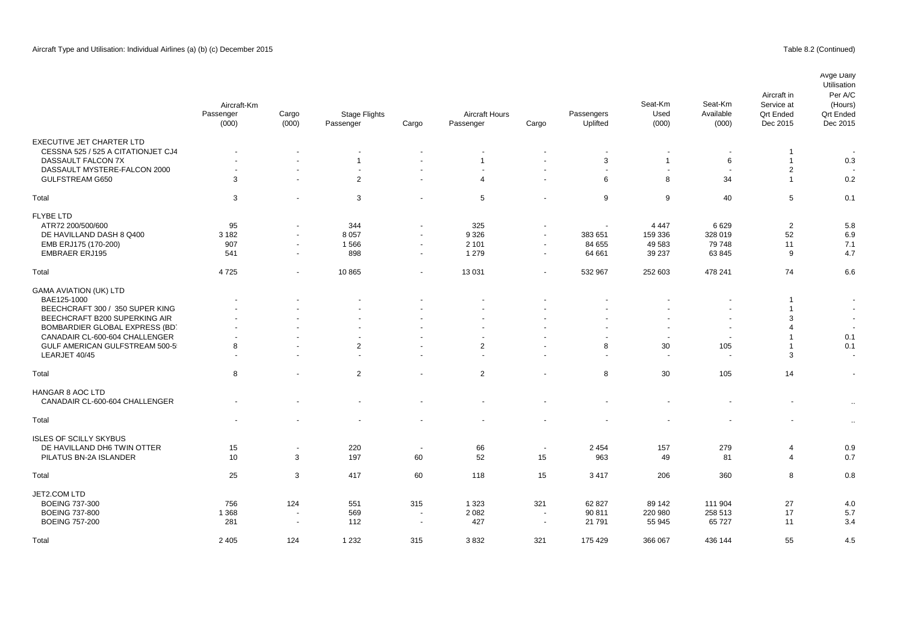|                                       | Aircraft-Km<br>Passenger<br>(000) | Cargo<br>(000)           | <b>Stage Flights</b><br>Passenger | Cargo                    | <b>Aircraft Hours</b><br>Passenger | Cargo                    | Passengers<br>Uplifted   | Seat-Km<br>Used<br>(000) | Seat-Km<br>Available<br>(000) | Aircraft in<br>Service at<br><b>Qrt Ended</b><br>Dec 2015 | Avge Daily<br>Utilisation<br>Per A/C<br>(Hours)<br><b>Qrt Endec</b><br>Dec 2015 |
|---------------------------------------|-----------------------------------|--------------------------|-----------------------------------|--------------------------|------------------------------------|--------------------------|--------------------------|--------------------------|-------------------------------|-----------------------------------------------------------|---------------------------------------------------------------------------------|
| EXECUTIVE JET CHARTER LTD             |                                   |                          |                                   |                          |                                    |                          |                          |                          |                               |                                                           |                                                                                 |
| CESSNA 525 / 525 A CITATIONJET CJ4    | ٠                                 |                          |                                   |                          |                                    |                          |                          |                          |                               | -1                                                        |                                                                                 |
| DASSAULT FALCON 7X                    | $\blacksquare$                    |                          | $\mathbf{1}$                      |                          | $\mathbf{1}$                       | $\ddot{\phantom{1}}$     | 3                        | $\overline{1}$           | 6                             | $\mathbf{1}$                                              | 0.3                                                                             |
| DASSAULT MYSTERE-FALCON 2000          | $\sim$                            | $\blacksquare$           | $\sim$                            | $\overline{\phantom{a}}$ |                                    | $\overline{\phantom{a}}$ | $\overline{\phantom{a}}$ | $\overline{\phantom{a}}$ | $\sim$                        | 2                                                         |                                                                                 |
| GULFSTREAM G650                       | 3                                 | ÷.                       | $\overline{2}$                    | ÷.                       | $\overline{4}$                     | $\sim$                   | 6                        | 8                        | 34                            | $\mathbf{1}$                                              | 0.2                                                                             |
| Total                                 | 3                                 | $\blacksquare$           | 3                                 | ÷,                       | 5                                  | $\blacksquare$           | 9                        | 9                        | 40                            | 5                                                         | 0.1                                                                             |
| <b>FLYBE LTD</b>                      |                                   |                          |                                   |                          |                                    |                          |                          |                          |                               |                                                           |                                                                                 |
| ATR72 200/500/600                     | 95                                | $\blacksquare$           | 344                               | $\blacksquare$           | 325                                | $\blacksquare$           |                          | 4 4 4 7                  | 6629                          | $\overline{2}$                                            | 5.8                                                                             |
| DE HAVILLAND DASH 8 Q400              | 3 1 8 2                           | $\sim$                   | 8 0 5 7                           | $\blacksquare$           | 9 3 2 6                            | $\sim$                   | 383 651                  | 159 336                  | 328 019                       | 52                                                        | 6.9                                                                             |
| EMB ERJ175 (170-200)                  | 907                               | $\blacksquare$           | 1566                              | $\blacksquare$           | 2 1 0 1                            | $\overline{\phantom{a}}$ | 84 655                   | 49 583                   | 79 748                        | 11                                                        | 7.1                                                                             |
| <b>EMBRAER ERJ195</b>                 | 541                               | $\sim$                   | 898                               | $\sim$                   | 1 2 7 9                            | $\sim$                   | 64 661                   | 39 237                   | 63 845                        | 9                                                         | 4.7                                                                             |
| Total                                 | 4725                              | $\sim$                   | 10 865                            | ÷,                       | 13 0 31                            | $\sim$                   | 532 967                  | 252 603                  | 478 241                       | 74                                                        | 6.6                                                                             |
| <b>GAMA AVIATION (UK) LTD</b>         |                                   |                          |                                   |                          |                                    |                          |                          |                          |                               |                                                           |                                                                                 |
| BAE125-1000                           |                                   |                          |                                   |                          |                                    |                          |                          |                          |                               | $\mathbf 1$                                               |                                                                                 |
| BEECHCRAFT 300 / 350 SUPER KING       |                                   |                          |                                   |                          |                                    |                          |                          |                          | $\overline{\phantom{a}}$      | $\mathbf{1}$                                              |                                                                                 |
| BEECHCRAFT B200 SUPERKING AIR         |                                   |                          |                                   |                          |                                    |                          |                          |                          |                               | 3                                                         |                                                                                 |
| BOMBARDIER GLOBAL EXPRESS (BD)        |                                   |                          |                                   |                          |                                    |                          |                          | $\overline{\phantom{a}}$ | $\overline{\phantom{a}}$      | 4                                                         |                                                                                 |
| CANADAIR CL-600-604 CHALLENGER        | $\overline{\phantom{a}}$          |                          |                                   |                          |                                    |                          |                          | $\blacksquare$           | $\overline{\phantom{a}}$      | $\mathbf{1}$                                              | 0.1                                                                             |
| <b>GULF AMERICAN GULFSTREAM 500-5</b> | 8                                 |                          | 2                                 |                          | 2                                  |                          | 8                        | 30                       | 105                           | -1                                                        | 0.1                                                                             |
| LEARJET 40/45                         | $\sim$                            |                          |                                   |                          |                                    |                          | $\sim$                   | $\blacksquare$           | $\sim$                        | 3                                                         |                                                                                 |
| Total                                 | 8                                 |                          | 2                                 | ÷,                       | $\overline{2}$                     |                          | 8                        | 30                       | 105                           | 14                                                        |                                                                                 |
| HANGAR 8 AOC LTD                      |                                   |                          |                                   |                          |                                    |                          |                          |                          |                               |                                                           |                                                                                 |
| CANADAIR CL-600-604 CHALLENGER        |                                   |                          |                                   |                          |                                    |                          |                          |                          |                               |                                                           | $\bullet$                                                                       |
| Total                                 |                                   |                          |                                   |                          |                                    |                          |                          |                          |                               | $\overline{\phantom{a}}$                                  | $\ddot{\phantom{1}}$                                                            |
| <b>ISLES OF SCILLY SKYBUS</b>         |                                   |                          |                                   |                          |                                    |                          |                          |                          |                               |                                                           |                                                                                 |
| DE HAVILLAND DH6 TWIN OTTER           | 15                                | $\blacksquare$           | 220                               | $\overline{\phantom{a}}$ | 66                                 | $\overline{\phantom{a}}$ | 2 4 5 4                  | 157                      | 279                           | 4                                                         | 0.9                                                                             |
| PILATUS BN-2A ISLANDER                | 10                                | 3                        | 197                               | 60                       | 52                                 | 15                       | 963                      | 49                       | 81                            | $\overline{4}$                                            | 0.7                                                                             |
| Total                                 | 25                                | 3                        | 417                               | 60                       | 118                                | 15                       | 3417                     | 206                      | 360                           | 8                                                         | 0.8                                                                             |
| JET2.COM LTD                          |                                   |                          |                                   |                          |                                    |                          |                          |                          |                               |                                                           |                                                                                 |
| <b>BOEING 737-300</b>                 | 756                               | 124                      | 551                               | 315                      | 1 3 2 3                            | 321                      | 62 827                   | 89 142                   | 111 904                       | 27                                                        | 4.0                                                                             |
| <b>BOEING 737-800</b>                 | 1 3 6 8                           | $\blacksquare$           | 569                               | $\sim$                   | 2 0 8 2                            | $\overline{\phantom{a}}$ | 90 811                   | 220 980                  | 258 513                       | 17                                                        | 5.7                                                                             |
| <b>BOEING 757-200</b>                 | 281                               | $\overline{\phantom{a}}$ | 112                               | $\sim$                   | 427                                | $\sim$                   | 21 7 9 1                 | 55 945                   | 65 727                        | 11                                                        | 3.4                                                                             |
| Total                                 | 2 4 0 5                           | 124                      | 1 2 3 2                           | 315                      | 3832                               | 321                      | 175 429                  | 366 067                  | 436 144                       | 55                                                        | 4.5                                                                             |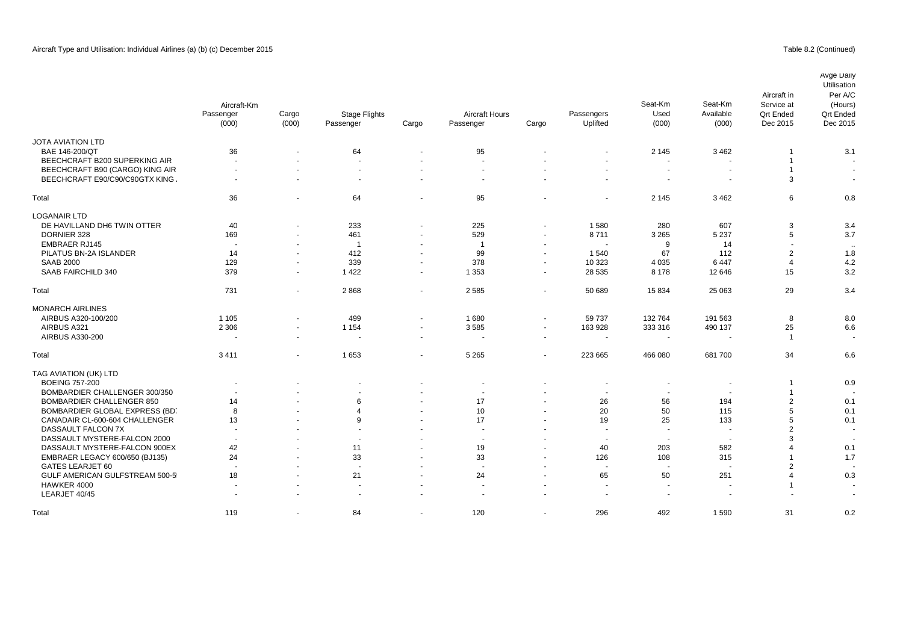## Table 8.2 (Continued)

|                                  | Aircraft-Km<br>Passenger<br>(000) | Cargo<br>(000)           | <b>Stage Flights</b><br>Passenger | Cargo                    | <b>Aircraft Hours</b><br>Passenger | Cargo                    | Passengers<br>Uplifted   | Seat-Km<br>Used<br>(000) | Seat-Km<br>Available<br>(000) | Aircraft in<br>Service at<br><b>Qrt Ended</b><br>Dec 2015 | Avge Daily<br>Utilisation<br>Per A/C<br>(Hours)<br><b>Qrt Ended</b><br>Dec 2015 |
|----------------------------------|-----------------------------------|--------------------------|-----------------------------------|--------------------------|------------------------------------|--------------------------|--------------------------|--------------------------|-------------------------------|-----------------------------------------------------------|---------------------------------------------------------------------------------|
| <b>JOTA AVIATION LTD</b>         |                                   |                          |                                   |                          |                                    |                          |                          |                          |                               |                                                           |                                                                                 |
| BAE 146-200/QT                   | 36                                |                          | 64                                |                          | 95                                 |                          |                          | 2 1 4 5                  | 3 4 6 2                       |                                                           | 3.1                                                                             |
| BEECHCRAFT B200 SUPERKING AIR    | $\sim$                            |                          | $\sim$                            | $\sim$                   | $\sim$                             |                          | ÷,                       |                          | ÷,                            |                                                           |                                                                                 |
| BEECHCRAFT B90 (CARGO) KING AIR  | $\overline{\phantom{a}}$          | $\overline{a}$           | $\sim$                            | $\overline{\phantom{a}}$ | $\overline{\phantom{a}}$           |                          |                          |                          | $\blacksquare$                | $\overline{1}$                                            | $\sim$                                                                          |
| BEECHCRAFT E90/C90/C90GTX KING   | $\sim$                            | $\overline{\phantom{a}}$ | $\overline{a}$                    | $\sim$                   | $\overline{a}$                     | $\overline{a}$           |                          | $\overline{a}$           | $\sim$                        | 3                                                         | $\sim$                                                                          |
| Total                            | 36                                |                          | 64                                | $\blacksquare$           | 95                                 |                          |                          | 2 1 4 5                  | 3 4 6 2                       | 6                                                         | 0.8                                                                             |
| LOGANAIR LTD                     |                                   |                          |                                   |                          |                                    |                          |                          |                          |                               |                                                           |                                                                                 |
| DE HAVILLAND DH6 TWIN OTTER      | 40                                | $\blacksquare$           | 233                               | $\blacksquare$           | 225                                | $\blacksquare$           | 1580                     | 280                      | 607                           | 3                                                         | 3.4                                                                             |
| DORNIER 328                      | 169                               | $\sim$                   | 461                               | $\sim$                   | 529                                | $\overline{\phantom{a}}$ | 8711                     | 3 2 6 5                  | 5 2 3 7                       | 5                                                         | 3.7                                                                             |
| <b>EMBRAER RJ145</b>             | $\overline{\phantom{a}}$          | $\blacksquare$           | $\overline{1}$                    | $\sim$                   | $\overline{1}$                     | $\blacksquare$           | $\sim$                   | 9                        | 14                            |                                                           | $\ddot{\phantom{a}}$                                                            |
| PILATUS BN-2A ISLANDER           | 14                                | $\sim$                   | 412                               | $\sim$                   | 99                                 | $\overline{\phantom{a}}$ | 1540                     | 67                       | 112                           | $\overline{2}$                                            | 1.8                                                                             |
| <b>SAAB 2000</b>                 | 129                               | $\blacksquare$           | 339                               | $\blacksquare$           | 378                                | $\blacksquare$           | 10 323                   | 4 0 3 5                  | 6447                          | $\overline{4}$                                            | 4.2                                                                             |
| SAAB FAIRCHILD 340               | 379                               | $\sim$                   | 1 4 2 2                           | $\sim$                   | 1 3 5 3                            | $\sim$                   | 28 5 35                  | 8 1 7 8                  | 12 646                        | 15                                                        | 3.2                                                                             |
| Total                            | 731                               | $\blacksquare$           | 2868                              | $\blacksquare$           | 2 5 8 5                            | $\blacksquare$           | 50 689                   | 15834                    | 25 063                        | 29                                                        | 3.4                                                                             |
| <b>MONARCH AIRLINES</b>          |                                   |                          |                                   |                          |                                    |                          |                          |                          |                               |                                                           |                                                                                 |
| AIRBUS A320-100/200              | 1 1 0 5                           |                          | 499                               | $\sim$                   | 1680                               | $\sim$                   | 59737                    | 132 764                  | 191 563                       | 8                                                         | 8.0                                                                             |
| AIRBUS A321                      | 2 3 0 6                           | $\blacksquare$           | 1 1 5 4                           | $\blacksquare$           | 3585                               | $\blacksquare$           | 163 928                  | 333 316                  | 490 137                       | 25                                                        | 6.6                                                                             |
| AIRBUS A330-200                  |                                   | $\blacksquare$           |                                   | $\blacksquare$           | $\overline{\phantom{a}}$           | $\sim$                   | $\overline{\phantom{a}}$ |                          | $\overline{\phantom{a}}$      | $\overline{1}$                                            |                                                                                 |
|                                  |                                   |                          |                                   |                          |                                    |                          |                          |                          |                               |                                                           |                                                                                 |
| Total                            | 3411                              | ÷.                       | 1653                              | $\sim$                   | 5 2 6 5                            | $\sim$                   | 223 665                  | 466 080                  | 681 700                       | 34                                                        | 6.6                                                                             |
| TAG AVIATION (UK) LTD            |                                   |                          |                                   |                          |                                    |                          |                          |                          |                               |                                                           |                                                                                 |
| <b>BOEING 757-200</b>            |                                   |                          |                                   | $\blacksquare$           |                                    |                          |                          |                          | $\overline{\phantom{a}}$      | $\overline{1}$                                            | 0.9                                                                             |
| BOMBARDIER CHALLENGER 300/350    |                                   |                          |                                   |                          |                                    |                          |                          |                          | $\blacksquare$                | $\overline{1}$                                            |                                                                                 |
| <b>BOMBARDIER CHALLENGER 850</b> | 14                                |                          | 6                                 |                          | 17                                 |                          | 26                       | 56                       | 194                           | 2                                                         | 0.1                                                                             |
| BOMBARDIER GLOBAL EXPRESS (BD)   | 8                                 |                          | $\overline{4}$                    | ٠                        | 10                                 | $\blacksquare$           | 20                       | 50                       | 115                           | 5                                                         | 0.1                                                                             |
| CANADAIR CL-600-604 CHALLENGER   | 13                                |                          | 9                                 | $\sim$                   | 17                                 | $\ddot{\phantom{1}}$     | 19                       | 25                       | 133                           | 5                                                         | 0.1                                                                             |
| DASSAULT FALCON 7X               | $\blacksquare$                    |                          |                                   | ٠                        | $\overline{\phantom{a}}$           | $\overline{\phantom{a}}$ | ÷,                       |                          | $\blacksquare$                | $\overline{2}$                                            |                                                                                 |
| DASSAULT MYSTERE-FALCON 2000     | $\sim$                            |                          |                                   | $\sim$                   | $\sim$                             |                          | $\sim$                   | $\sim$                   | $\sim$                        | 3                                                         |                                                                                 |
| DASSAULT MYSTERE-FALCON 900EX    | 42                                |                          | 11                                | $\sim$                   | 19                                 | $\blacksquare$           | 40                       | 203                      | 582                           | $\Delta$                                                  | 0.1                                                                             |
| EMBRAER LEGACY 600/650 (BJ135)   | 24                                |                          | 33                                |                          | 33                                 | $\ddot{\phantom{1}}$     | 126                      | 108                      | 315                           |                                                           | 1.7                                                                             |
| <b>GATES LEARJET 60</b>          | $\overline{\phantom{a}}$          |                          | $\sim$                            | $\overline{\phantom{a}}$ | ÷.                                 |                          | $\sim$                   | $\overline{\phantom{a}}$ | ÷,                            | $\overline{2}$                                            |                                                                                 |
| GULF AMERICAN GULFSTREAM 500-5   | 18                                |                          | 21                                | $\ddot{\phantom{1}}$     | 24                                 |                          | 65                       | 50                       | 251                           | $\overline{4}$                                            | 0.3                                                                             |
| HAWKER 4000                      | $\sim$                            | $\sim$                   | $\overline{a}$                    | $\sim$                   | $\overline{\phantom{a}}$           | $\sim$                   | $\overline{\phantom{a}}$ | $\sim$                   | $\ddot{\phantom{1}}$          | $\overline{1}$                                            |                                                                                 |
| LEARJET 40/45                    |                                   |                          |                                   |                          |                                    |                          |                          |                          |                               |                                                           |                                                                                 |
| Total                            | 119                               |                          | 84                                | $\sim$                   | 120                                | $\sim$                   | 296                      | 492                      | 1590                          | 31                                                        | 0.2                                                                             |